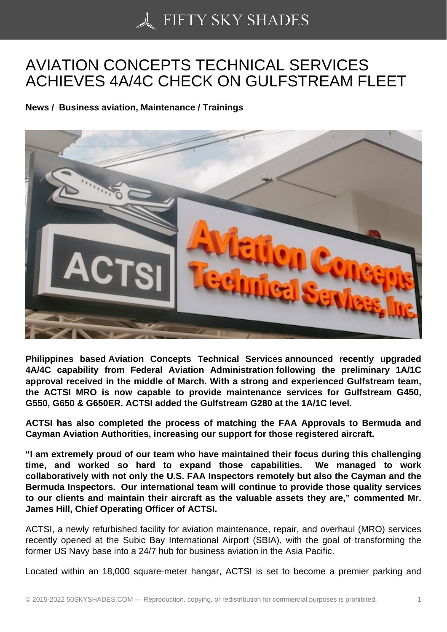## [AVIATION CONCEPTS](https://50skyshades.com) TECHNICAL SERVICES ACHIEVES 4A/4C CHECK ON GULFSTREAM FLEET

News / Business aviation, Maintenance / Trainings

Philippines based Aviation Concepts Technical Services announced recently upgraded 4A/4C capability from Federal Aviation Administration following the preliminary 1A/1C approval received in the middle of March. With a strong and experienced Gulfstream team, the ACTSI MRO is now capable to provide maintenance services for Gulfstream G450, G550, G650 & G650ER. ACTSI added the Gulfstream G280 at the 1A/1C level.

ACTSI has also completed the process of matching the FAA Approvals to Bermuda and Cayman Aviation Authorities, increasing our support for those registered aircraft.

"I am extremely proud of our team who have maintained their focus during this challenging time, and worked so hard to expand those capabilities. We managed to work collaboratively with not only the U.S. FAA Inspectors remotely but also the Cayman and the Bermuda Inspectors. Our international team will continue to provide those quality services to our clients and maintain their aircraft as the valuable assets they are," commented Mr. James Hill, Chief Operating Officer of ACTSI.

ACTSI, a newly refurbished facility for aviation maintenance, repair, and overhaul (MRO) services recently opened at the Subic Bay International Airport (SBIA), with the goal of transforming the former US Navy base into a 24/7 hub for business aviation in the Asia Pacific.

Located within an 18,000 square-meter hangar, ACTSI is set to become a premier parking and